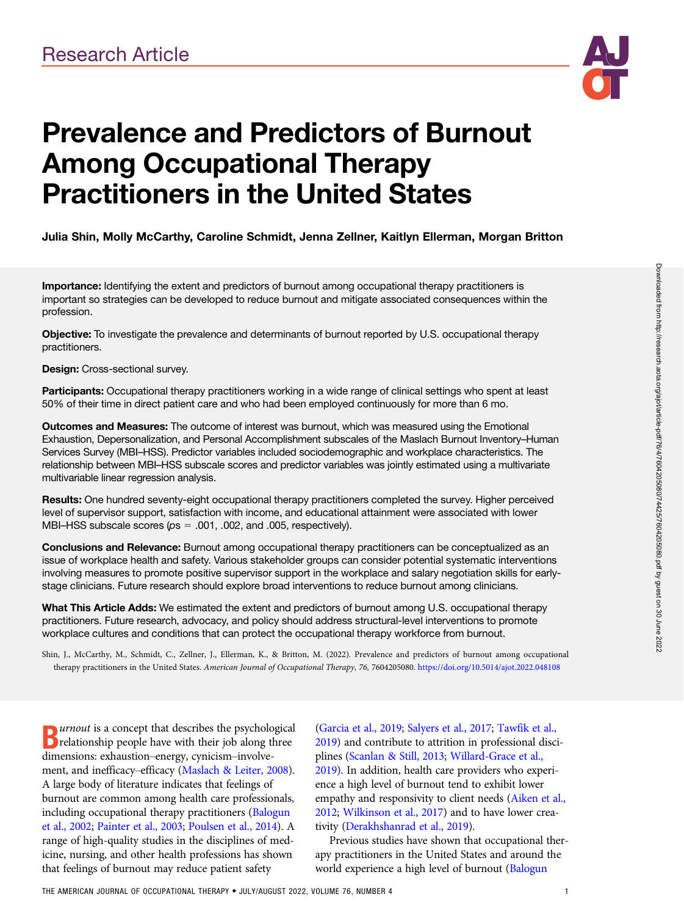

# Prevalence and Predictors of Burnout Among Occupational Therapy Practitioners in the United States

## Julia Shin, Molly McCarthy, Caroline Schmidt, Jenna Zellner, Kaitlyn Ellerman, Morgan Britton

Importance: Identifying the extent and predictors of burnout among occupational therapy practitioners is important so strategies can be developed to reduce burnout and mitigate associated consequences within the profession.

Objective: To investigate the prevalence and determinants of burnout reported by U.S. occupational therapy practitioners.

#### Design: Cross-sectional survey.

Participants: Occupational therapy practitioners working in a wide range of clinical settings who spent at least 50% of their time in direct patient care and who had been employed continuously for more than 6 mo.

Outcomes and Measures: The outcome of interest was burnout, which was measured using the Emotional Exhaustion, Depersonalization, and Personal Accomplishment subscales of the Maslach Burnout Inventory–Human Services Survey (MBI–HSS). Predictor variables included sociodemographic and workplace characteristics. The relationship between MBI–HSS subscale scores and predictor variables was jointly estimated using a multivariate multivariable linear regression analysis.

Results: One hundred seventy-eight occupational therapy practitioners completed the survey. Higher perceived level of supervisor support, satisfaction with income, and educational attainment were associated with lower MBI–HSS subscale scores ( $ps = .001$ , .002, and .005, respectively).

Conclusions and Relevance: Burnout among occupational therapy practitioners can be conceptualized as an issue of workplace health and safety. Various stakeholder groups can consider potential systematic interventions involving measures to promote positive supervisor support in the workplace and salary negotiation skills for earlystage clinicians. Future research should explore broad interventions to reduce burnout among clinicians.

What This Article Adds: We estimated the extent and predictors of burnout among U.S. occupational therapy practitioners. Future research, advocacy, and policy should address structural-level interventions to promote workplace cultures and conditions that can protect the occupational therapy workforce from burnout.

Shin, J., McCarthy, M., Schmidt, C., Zellner, J., Ellerman, K., & Britton, M. (2022). Prevalence and predictors of burnout among occupational therapy practitioners in the United States. American Journal of Occupational Therapy, 76, 7604205080. <https://doi.org/10.5014/ajot.2022.048108>

**D** *urnout* is a concept that describes the psychological<br> **D** relationship people have with their job along three<br>
dimensions exhaustion aparw emision involve relationship people have with their job along three dimensions: exhaustion–energy, cynicism–involvement, and inefficacy–efficacy ([Maslach & Leiter, 2008\)](#page-6-0). A large body of literature indicates that feelings of burnout are common among health care professionals, including occupational therapy practitioners ([Balogun](#page-6-0) [et al., 2002](#page-6-0); [Painter et al., 2003](#page-6-0); [Poulsen et al., 2014\)](#page-6-0). A range of high-quality studies in the disciplines of medicine, nursing, and other health professions has shown that feelings of burnout may reduce patient safety

[\(Garcia et al., 2019](#page-6-0); [Salyers et al., 2017](#page-6-0); [Tawfik et al.,](#page-7-0) [2019](#page-7-0)) and contribute to attrition in professional disciplines ([Scanlan & Still, 2013;](#page-6-0) [Willard-Grace et al.,](#page-7-0) [2019](#page-7-0)). In addition, health care providers who experience a high level of burnout tend to exhibit lower empathy and responsivity to client needs ([Aiken et al.,](#page-6-0) [2012](#page-6-0); [Wilkinson et al., 2017\)](#page-7-0) and to have lower creativity [\(Derakhshanrad et al., 2019\)](#page-6-0).

Previous studies have shown that occupational therapy practitioners in the United States and around the world experience a high level of burnout ([Balogun](#page-6-0)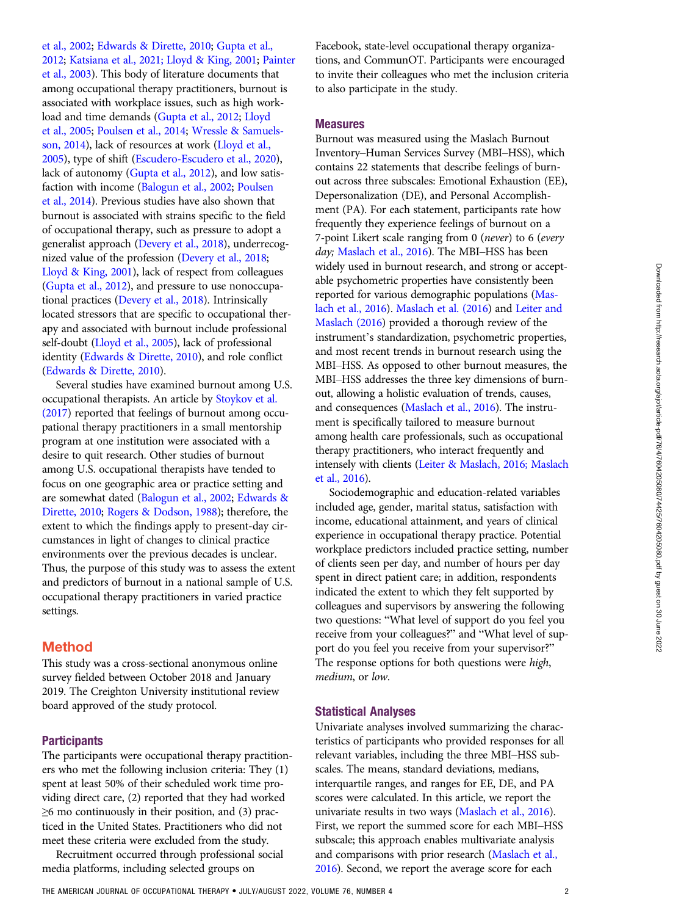[et al., 2002](#page-6-0); [Edwards & Dirette, 2010](#page-6-0); [Gupta et al.,](#page-6-0) [2012](#page-6-0); [Katsiana et al., 2021; Lloyd & King, 2001;](#page-6-0) [Painter](#page-6-0) [et al., 2003](#page-6-0)). This body of literature documents that among occupational therapy practitioners, burnout is associated with workplace issues, such as high workload and time demands ([Gupta et al., 2012](#page-6-0); [Lloyd](#page-6-0) [et al., 2005](#page-6-0); [Poulsen et al., 2014;](#page-6-0) [Wressle & Samuels](#page-7-0)[son, 2014](#page-7-0)), lack of resources at work ([Lloyd et al.,](#page-6-0) [2005](#page-6-0)), type of shift ([Escudero-Escudero et al., 2020\)](#page-6-0), lack of autonomy ([Gupta et al., 2012](#page-6-0)), and low satisfaction with income ([Balogun et al., 2002;](#page-6-0) [Poulsen](#page-6-0) [et al., 2014](#page-6-0)). Previous studies have also shown that burnout is associated with strains specific to the field of occupational therapy, such as pressure to adopt a generalist approach [\(Devery et al., 2018](#page-6-0)), underrecognized value of the profession [\(Devery et al., 2018;](#page-6-0) [Lloyd & King, 2001](#page-6-0)), lack of respect from colleagues [\(Gupta et al., 2012](#page-6-0)), and pressure to use nonoccupational practices [\(Devery et al., 2018\)](#page-6-0). Intrinsically located stressors that are specific to occupational therapy and associated with burnout include professional self-doubt [\(Lloyd et al., 2005](#page-6-0)), lack of professional identity ([Edwards & Dirette, 2010](#page-6-0)), and role conflict [\(Edwards & Dirette, 2010](#page-6-0)).

Several studies have examined burnout among U.S. occupational therapists. An article by [Stoykov et al.](#page-7-0) [\(2017\)](#page-7-0) reported that feelings of burnout among occupational therapy practitioners in a small mentorship program at one institution were associated with a desire to quit research. Other studies of burnout among U.S. occupational therapists have tended to focus on one geographic area or practice setting and are somewhat dated ([Balogun et al., 2002;](#page-6-0) [Edwards &](#page-6-0) [Dirette, 2010;](#page-6-0) [Rogers & Dodson, 1988\)](#page-6-0); therefore, the extent to which the findings apply to present-day circumstances in light of changes to clinical practice environments over the previous decades is unclear. Thus, the purpose of this study was to assess the extent and predictors of burnout in a national sample of U.S. occupational therapy practitioners in varied practice settings.

## Method

This study was a cross-sectional anonymous online survey fielded between October 2018 and January 2019. The Creighton University institutional review board approved of the study protocol.

### **Participants**

The participants were occupational therapy practitioners who met the following inclusion criteria: They (1) spent at least 50% of their scheduled work time providing direct care, (2) reported that they had worked  $\geq$ 6 mo continuously in their position, and (3) practiced in the United States. Practitioners who did not meet these criteria were excluded from the study.

Recruitment occurred through professional social media platforms, including selected groups on

Facebook, state-level occupational therapy organizations, and CommunOT. Participants were encouraged to invite their colleagues who met the inclusion criteria to also participate in the study.

#### Measures

Burnout was measured using the Maslach Burnout Inventory–Human Services Survey (MBI–HSS), which contains 22 statements that describe feelings of burnout across three subscales: Emotional Exhaustion (EE), Depersonalization (DE), and Personal Accomplishment (PA). For each statement, participants rate how frequently they experience feelings of burnout on a 7-point Likert scale ranging from 0 (never) to 6 (every day; [Maslach et al., 2016\)](#page-6-0). The MBI-HSS has been widely used in burnout research, and strong or acceptable psychometric properties have consistently been reported for various demographic populations [\(Mas](#page-6-0)[lach et al., 2016](#page-6-0)). [Maslach et al. \(2016](#page-6-0)) and [Leiter and](#page-6-0) [Maslach \(2016\)](#page-6-0) provided a thorough review of the instrument's standardization, psychometric properties, and most recent trends in burnout research using the MBI–HSS. As opposed to other burnout measures, the MBI–HSS addresses the three key dimensions of burnout, allowing a holistic evaluation of trends, causes, and consequences [\(Maslach et al., 2016\)](#page-6-0). The instrument is specifically tailored to measure burnout among health care professionals, such as occupational therapy practitioners, who interact frequently and intensely with clients [\(Leiter & Maslach, 2016; Maslach](#page-6-0) [et al., 2016\)](#page-6-0).

Sociodemographic and education-related variables included age, gender, marital status, satisfaction with income, educational attainment, and years of clinical experience in occupational therapy practice. Potential workplace predictors included practice setting, number of clients seen per day, and number of hours per day spent in direct patient care; in addition, respondents indicated the extent to which they felt supported by colleagues and supervisors by answering the following two questions: "What level of support do you feel you receive from your colleagues?" and "What level of support do you feel you receive from your supervisor?" The response options for both questions were high, medium, or low.

#### Statistical Analyses

Univariate analyses involved summarizing the characteristics of participants who provided responses for all relevant variables, including the three MBI–HSS subscales. The means, standard deviations, medians, interquartile ranges, and ranges for EE, DE, and PA scores were calculated. In this article, we report the univariate results in two ways [\(Maslach et al., 2016\)](#page-6-0). First, we report the summed score for each MBI–HSS subscale; this approach enables multivariate analysis and comparisons with prior research ([Maslach et al.,](#page-6-0) [2016](#page-6-0)). Second, we report the average score for each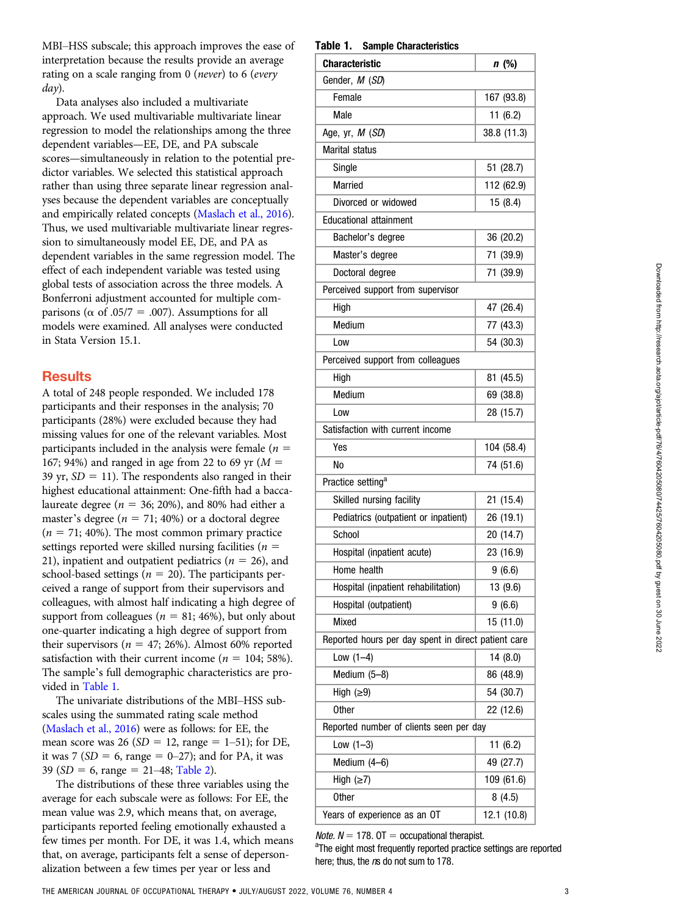MBI–HSS subscale; this approach improves the ease of interpretation because the results provide an average rating on a scale ranging from 0 (never) to 6 (every day).

Data analyses also included a multivariate approach. We used multivariable multivariate linear regression to model the relationships among the three dependent variables—EE, DE, and PA subscale scores—simultaneously in relation to the potential predictor variables. We selected this statistical approach rather than using three separate linear regression analyses because the dependent variables are conceptually and empirically related concepts ([Maslach et al., 2016](#page-6-0)). Thus, we used multivariable multivariate linear regression to simultaneously model EE, DE, and PA as dependent variables in the same regression model. The effect of each independent variable was tested using global tests of association across the three models. A Bonferroni adjustment accounted for multiple comparisons ( $\alpha$  of .05/7 = .007). Assumptions for all models were examined. All analyses were conducted in Stata Version 15.1.

# **Results**

A total of 248 people responded. We included 178 participants and their responses in the analysis; 70 participants (28%) were excluded because they had missing values for one of the relevant variables. Most participants included in the analysis were female ( $n =$ 167; 94%) and ranged in age from 22 to 69 yr  $(M =$ 39 yr,  $SD = 11$ ). The respondents also ranged in their highest educational attainment: One-fifth had a baccalaureate degree ( $n = 36$ ; 20%), and 80% had either a master's degree ( $n = 71$ ; 40%) or a doctoral degree  $(n = 71; 40\%)$ . The most common primary practice settings reported were skilled nursing facilities ( $n =$ 21), inpatient and outpatient pediatrics ( $n = 26$ ), and school-based settings ( $n = 20$ ). The participants perceived a range of support from their supervisors and colleagues, with almost half indicating a high degree of support from colleagues ( $n = 81$ ; 46%), but only about one-quarter indicating a high degree of support from their supervisors ( $n = 47$ ; 26%). Almost 60% reported satisfaction with their current income ( $n = 104$ ; 58%). The sample's full demographic characteristics are provided in [Table 1.](#page-2-0)

The univariate distributions of the MBI–HSS subscales using the summated rating scale method [\(Maslach et al., 2016](#page-6-0)) were as follows: for EE, the mean score was 26 ( $SD = 12$ , range = 1–51); for DE, it was 7 ( $SD = 6$ , range = 0–27); and for PA, it was 39 ( $SD = 6$ , range = 21–48; [Table 2\)](#page-3-0).

The distributions of these three variables using the average for each subscale were as follows: For EE, the mean value was 2.9, which means that, on average, participants reported feeling emotionally exhausted a few times per month. For DE, it was 1.4, which means that, on average, participants felt a sense of depersonalization between a few times per year or less and

#### <span id="page-2-0"></span>Table 1. Sample Characteristics

| Characteristic                                      | n (%)       |  |  |  |  |
|-----------------------------------------------------|-------------|--|--|--|--|
| Gender, M (SD)                                      |             |  |  |  |  |
| Female                                              | 167 (93.8)  |  |  |  |  |
| Male                                                | 11(6.2)     |  |  |  |  |
|                                                     |             |  |  |  |  |
| Age, yr, <i>M (SD</i> )<br><b>Marital status</b>    | 38.8 (11.3) |  |  |  |  |
|                                                     |             |  |  |  |  |
| Single                                              | 51 (28.7)   |  |  |  |  |
| <b>Married</b>                                      | 112 (62.9)  |  |  |  |  |
| Divorced or widowed                                 | 15(8.4)     |  |  |  |  |
| <b>Educational attainment</b>                       |             |  |  |  |  |
| Bachelor's degree                                   | 36 (20.2)   |  |  |  |  |
| Master's degree                                     | 71 (39.9)   |  |  |  |  |
| Doctoral degree                                     | 71 (39.9)   |  |  |  |  |
| Perceived support from supervisor                   |             |  |  |  |  |
| High                                                | 47 (26.4)   |  |  |  |  |
| Medium                                              | 77 (43.3)   |  |  |  |  |
| Low                                                 | 54 (30.3)   |  |  |  |  |
| Perceived support from colleagues                   |             |  |  |  |  |
| High                                                | 81 (45.5)   |  |  |  |  |
| Medium                                              | 69 (38.8)   |  |  |  |  |
| Low                                                 | 28 (15.7)   |  |  |  |  |
| Satisfaction with current income                    |             |  |  |  |  |
| Yes                                                 | 104 (58.4)  |  |  |  |  |
| No                                                  | 74 (51.6)   |  |  |  |  |
| Practice setting <sup>a</sup>                       |             |  |  |  |  |
| Skilled nursing facility                            | 21 (15.4)   |  |  |  |  |
| Pediatrics (outpatient or inpatient)                | 26 (19.1)   |  |  |  |  |
| School                                              | 20 (14.7)   |  |  |  |  |
| Hospital (inpatient acute)                          | 23 (16.9)   |  |  |  |  |
| Home health                                         | 9(6.6)      |  |  |  |  |
| Hospital (inpatient rehabilitation)                 | 13 (9.6)    |  |  |  |  |
| Hospital (outpatient)                               | 9(6.6)      |  |  |  |  |
| <b>Mixed</b>                                        | 15(11.0)    |  |  |  |  |
| Reported hours per day spent in direct patient care |             |  |  |  |  |
| Low $(1-4)$                                         | 14(8.0)     |  |  |  |  |
| Medium (5-8)                                        | 86 (48.9)   |  |  |  |  |
| High $(≥9)$                                         | 54 (30.7)   |  |  |  |  |
| <b>Other</b>                                        | 22 (12.6)   |  |  |  |  |
| Reported number of clients seen per day             |             |  |  |  |  |
| Low $(1-3)$                                         | 11(6.2)     |  |  |  |  |
|                                                     |             |  |  |  |  |
| Medium (4-6)                                        | 49 (27.7)   |  |  |  |  |
| High $(\geq 7)$                                     | 109 (61.6)  |  |  |  |  |
| <b>Other</b>                                        | 8(4.5)      |  |  |  |  |
| Years of experience as an OT                        | 12.1 (10.8) |  |  |  |  |

*Note.*  $N = 178$ . OT = occupational therapist.

<sup>a</sup>The eight most frequently reported practice settings are reported here; thus, the ns do not sum to 178.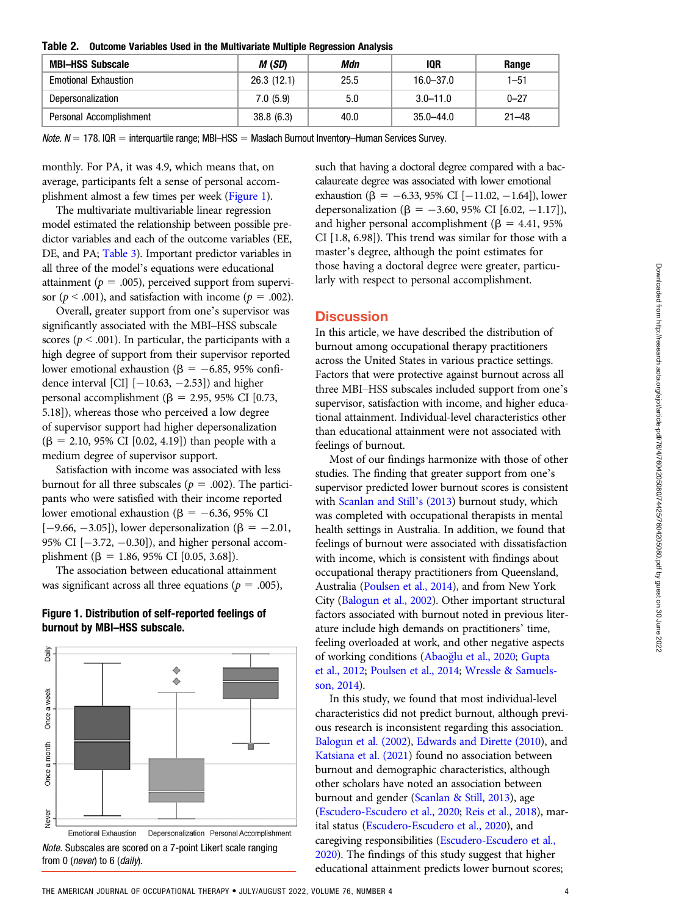<span id="page-3-0"></span>

|  | Table 2. Outcome Variables Used in the Multivariate Multiple Regression Analysis |  |  |  |  |  |
|--|----------------------------------------------------------------------------------|--|--|--|--|--|
|--|----------------------------------------------------------------------------------|--|--|--|--|--|

| <b>MBI-HSS Subscale</b>     | M (SD)     | Mdn  | 10R           | Range     |  |
|-----------------------------|------------|------|---------------|-----------|--|
| <b>Emotional Exhaustion</b> | 26.3(12.1) | 25.5 | $16.0 - 37.0$ | $1 - 51$  |  |
| Depersonalization           | 7.0(5.9)   | 5.0  | $3.0 - 11.0$  | $0 - 27$  |  |
| Personal Accomplishment     | 38.8(6.3)  | 40.0 | 35.0–44.0     | $21 - 48$ |  |

 $Note. N = 178. IQR = interquartile range; MBI–HSS = Maslach Burnout Inventory–Human Services Survey.$ 

monthly. For PA, it was 4.9, which means that, on average, participants felt a sense of personal accomplishment almost a few times per week [\(Figure 1\)](#page-3-1).

The multivariate multivariable linear regression model estimated the relationship between possible predictor variables and each of the outcome variables (EE, DE, and PA; [Table 3\)](#page-4-0). Important predictor variables in all three of the model's equations were educational attainment ( $p = .005$ ), perceived support from supervisor ( $p < .001$ ), and satisfaction with income ( $p = .002$ ).

Overall, greater support from one's supervisor was significantly associated with the MBI–HSS subscale scores ( $p < .001$ ). In particular, the participants with a high degree of support from their supervisor reported lower emotional exhaustion ( $\beta = -6.85$ , 95% confidence interval [CI]  $[-10.63, -2.53]$  and higher personal accomplishment ( $\beta$  = 2.95, 95% CI [0.73, 5.18]), whereas those who perceived a low degree of supervisor support had higher depersonalization  $(\beta = 2.10, 95\% \text{ CI } [0.02, 4.19])$  than people with a medium degree of supervisor support.

Satisfaction with income was associated with less burnout for all three subscales ( $p = .002$ ). The participants who were satisfied with their income reported lower emotional exhaustion ( $\beta = -6.36$ , 95% CI  $[-9.66, -3.05]$ , lower depersonalization ( $\beta = -2.01$ , 95% CI  $[-3.72, -0.30]$ ), and higher personal accomplishment ( $\beta = 1.86, 95\%$  CI [0.05, 3.68]).

The association between educational attainment was significant across all three equations ( $p = .005$ ),

#### <span id="page-3-1"></span>Figure 1. Distribution of self-reported feelings of burnout by MBI–HSS subscale.





such that having a doctoral degree compared with a baccalaureate degree was associated with lower emotional exhaustion ( $\beta = -6.33, 95\%$  CI [-11.02, -1.64]), lower depersonalization ( $\beta = -3.60, 95\%$  CI [6.02, -1.17]), and higher personal accomplishment ( $\beta = 4.41$ , 95%) CI [1.8, 6.98]). This trend was similar for those with a master's degree, although the point estimates for those having a doctoral degree were greater, particularly with respect to personal accomplishment.

## **Discussion**

In this article, we have described the distribution of burnout among occupational therapy practitioners across the United States in various practice settings. Factors that were protective against burnout across all three MBI–HSS subscales included support from one's supervisor, satisfaction with income, and higher educational attainment. Individual-level characteristics other than educational attainment were not associated with feelings of burnout.

Most of our findings harmonize with those of other studies. The finding that greater support from one's supervisor predicted lower burnout scores is consistent with [Scanlan and Still](#page-6-0)'s (2013) burnout study, which was completed with occupational therapists in mental health settings in Australia. In addition, we found that feelings of burnout were associated with dissatisfaction with income, which is consistent with findings about occupational therapy practitioners from Queensland, Australia [\(Poulsen et al., 2014\)](#page-6-0), and from New York City [\(Balogun et al., 2002](#page-6-0)). Other important structural factors associated with burnout noted in previous literature include high demands on practitioners' time, feeling overloaded at work, and other negative aspects of working conditions (Abao[glu et al., 2020;](#page-6-0) [Gupta](#page-6-0) [et al., 2012;](#page-6-0) [Poulsen et al., 2014;](#page-6-0) [Wressle & Samuels](#page-7-0)[son, 2014\)](#page-7-0).

In this study, we found that most individual-level characteristics did not predict burnout, although previous research is inconsistent regarding this association. [Balogun et al. \(2002\)](#page-6-0), [Edwards and Dirette \(2010](#page-6-0)), and [Katsiana et al. \(2021](#page-6-0)) found no association between burnout and demographic characteristics, although other scholars have noted an association between burnout and gender ([Scanlan & Still, 2013\)](#page-6-0), age [\(Escudero-Escudero et al., 2020;](#page-6-0) [Reis et al., 2018\)](#page-6-0), marital status ([Escudero-Escudero et al., 2020](#page-6-0)), and caregiving responsibilities [\(Escudero-Escudero et al.,](#page-6-0) [2020](#page-6-0)). The findings of this study suggest that higher educational attainment predicts lower burnout scores;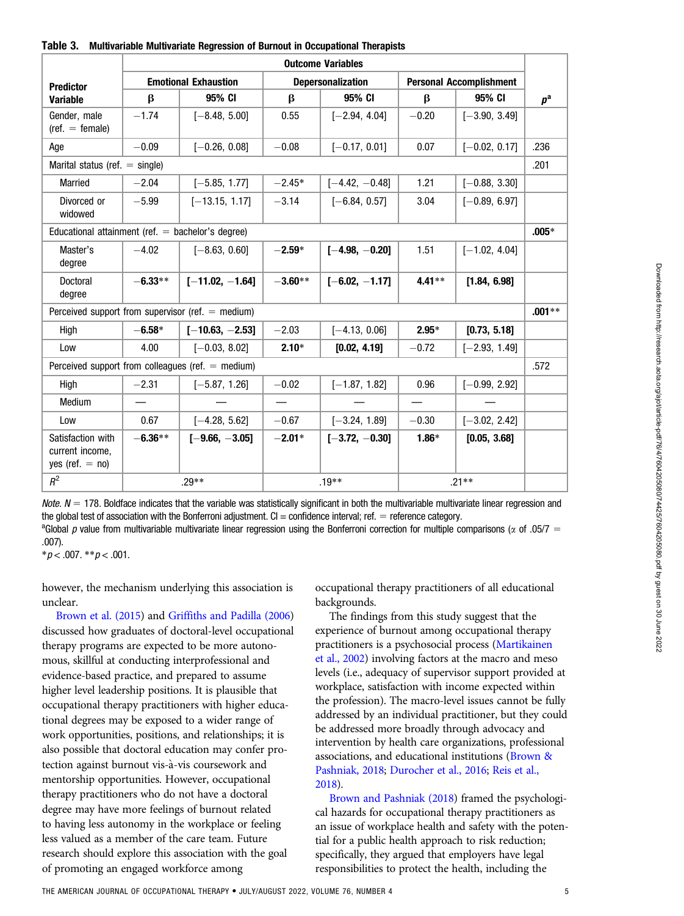<span id="page-4-0"></span>

| Table 3. | Multivariable Multivariate Regression of Burnout in Occupational Therapists |  |  |
|----------|-----------------------------------------------------------------------------|--|--|
|----------|-----------------------------------------------------------------------------|--|--|

|                                                           | <b>Outcome Variables</b>    |                                                     |                          |                  |                                |                 |          |
|-----------------------------------------------------------|-----------------------------|-----------------------------------------------------|--------------------------|------------------|--------------------------------|-----------------|----------|
| <b>Predictor</b>                                          | <b>Emotional Exhaustion</b> |                                                     | <b>Depersonalization</b> |                  | <b>Personal Accomplishment</b> |                 |          |
| <b>Variable</b>                                           | $\beta$                     | 95% CI                                              | $\beta$                  | 95% CI           | $\beta$                        | 95% CI          | $p^a$    |
| Gender, male<br>$(\text{ref.} = \text{female})$           | $-1.74$                     | $[-8.48, 5.00]$                                     | 0.55                     | $[-2.94, 4.04]$  | $-0.20$                        | $[-3.90, 3.49]$ |          |
| Age                                                       | $-0.09$                     | $[-0.26, 0.08]$                                     | $-0.08$                  | $[-0.17, 0.01]$  | 0.07                           | $[-0.02, 0.17]$ | .236     |
| Marital status (ref. $=$ single)                          |                             |                                                     |                          |                  |                                |                 | .201     |
| <b>Married</b>                                            | $-2.04$                     | $[-5.85, 1.77]$                                     | $-2.45*$                 | $[-4.42, -0.48]$ | 1.21                           | $[-0.88, 3.30]$ |          |
| Divorced or<br>widowed                                    | $-5.99$                     | $[-13.15, 1.17]$                                    | $-3.14$                  | $[-6.84, 0.57]$  | 3.04                           | $[-0.89, 6.97]$ |          |
| Educational attainment (ref. $=$ bachelor's degree)       |                             |                                                     |                          |                  |                                |                 | $.005*$  |
| Master's<br>degree                                        | $-4.02$                     | $[-8.63, 0.60]$                                     | $-2.59*$                 | $[-4.98, -0.20]$ | 1.51                           | $[-1.02, 4.04]$ |          |
| Doctoral<br>degree                                        | $-6.33**$                   | $[-11.02, -1.64]$                                   | $-3.60**$                | $[-6.02, -1.17]$ | $4.41**$                       | [1.84, 6.98]    |          |
|                                                           |                             | Perceived support from supervisor (ref. $=$ medium) |                          |                  |                                |                 | $.001**$ |
| High                                                      | $-6.58*$                    | $[-10.63, -2.53]$                                   | $-2.03$                  | $[-4.13, 0.06]$  | $2.95*$                        | [0.73, 5.18]    |          |
| Low                                                       | 4.00                        | $[-0.03, 8.02]$                                     | $2.10*$                  | [0.02, 4.19]     | $-0.72$                        | $[-2.93, 1.49]$ |          |
|                                                           |                             | Perceived support from colleagues (ref. $=$ medium) |                          |                  |                                |                 | .572     |
| High                                                      | $-2.31$                     | $[-5.87, 1.26]$                                     | $-0.02$                  | $[-1.87, 1.82]$  | 0.96                           | $[-0.99, 2.92]$ |          |
| Medium                                                    |                             |                                                     |                          |                  | $\overline{\phantom{0}}$       |                 |          |
| Low                                                       | 0.67                        | $[-4.28, 5.62]$                                     | $-0.67$                  | $[-3.24, 1.89]$  | $-0.30$                        | $[-3.02, 2.42]$ |          |
| Satisfaction with<br>current income.<br>yes (ref. $=$ no) | $-6.36**$                   | $I-9.66. -3.051$                                    | $-2.01*$                 | $[-3.72, -0.30]$ | $1.86*$                        | [0.05, 3.68]    |          |
| $R^2$                                                     | $.29**$                     |                                                     | $.19**$                  |                  | $.21**$                        |                 |          |

Note.  $N = 178$ . Boldface indicates that the variable was statistically significant in both the multivariable multivariate linear regression and the global test of association with the Bonferroni adjustment.  $Cl =$  confidence interval; ref.  $=$  reference category.

<sup>a</sup>Global p value from multivariable multivariate linear regression using the Bonferroni correction for multiple comparisons ( $\alpha$  of .05/7 = .007).

 $* p < .007$ .  $* p < .001$ .

however, the mechanism underlying this association is unclear.

[Brown et al. \(2015](#page-6-0)) and [Griffiths and Padilla \(2006](#page-6-0)) discussed how graduates of doctoral-level occupational therapy programs are expected to be more autonomous, skillful at conducting interprofessional and evidence-based practice, and prepared to assume higher level leadership positions. It is plausible that occupational therapy practitioners with higher educational degrees may be exposed to a wider range of work opportunities, positions, and relationships; it is also possible that doctoral education may confer protection against burnout vis-a-vis coursework and mentorship opportunities. However, occupational therapy practitioners who do not have a doctoral degree may have more feelings of burnout related to having less autonomy in the workplace or feeling less valued as a member of the care team. Future research should explore this association with the goal of promoting an engaged workforce among

occupational therapy practitioners of all educational backgrounds.

The findings from this study suggest that the experience of burnout among occupational therapy practitioners is a psychosocial process [\(Martikainen](#page-6-0) [et al., 2002\)](#page-6-0) involving factors at the macro and meso levels (i.e., adequacy of supervisor support provided at workplace, satisfaction with income expected within the profession). The macro-level issues cannot be fully addressed by an individual practitioner, but they could be addressed more broadly through advocacy and intervention by health care organizations, professional associations, and educational institutions [\(Brown &](#page-6-0) [Pashniak, 2018](#page-6-0); [Durocher et al., 2016](#page-6-0); [Reis et al.,](#page-6-0) [2018](#page-6-0)).

[Brown and Pashniak \(2018](#page-6-0)) framed the psychological hazards for occupational therapy practitioners as an issue of workplace health and safety with the potential for a public health approach to risk reduction; specifically, they argued that employers have legal responsibilities to protect the health, including the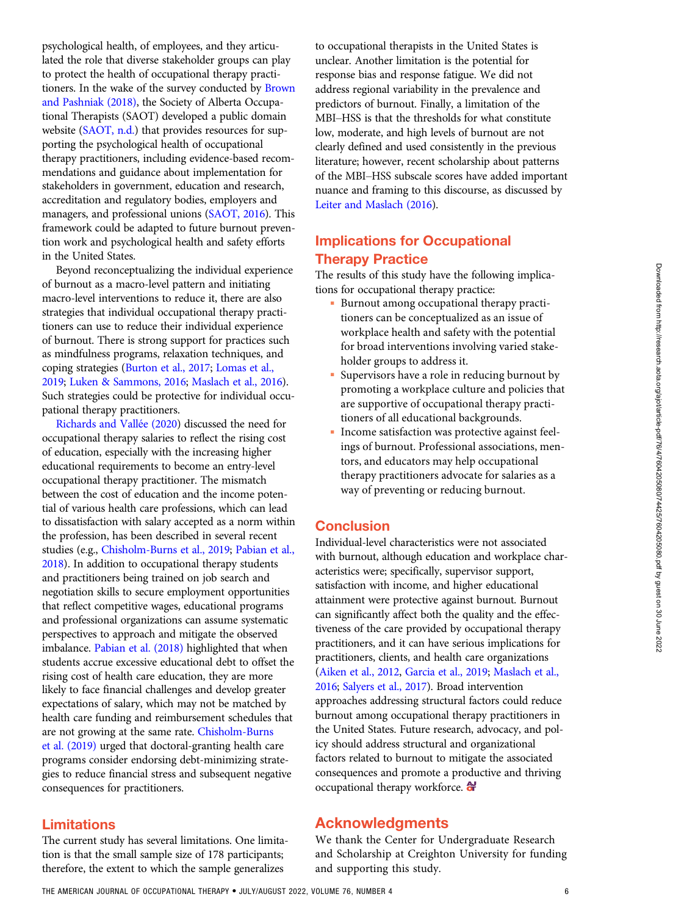Downloaded from http://research.aota.org/ajot/article-pdf/7604205080/74425/7604205080.pdf by guest on 30 June 2022 Downloaded from http://research.aota.org/ajot/article-pdf/76/4/7604205080/74425/7604205080.pdf by guest on 30 June 2022

psychological health, of employees, and they articulated the role that diverse stakeholder groups can play to protect the health of occupational therapy practitioners. In the wake of the survey conducted by [Brown](#page-6-0) [and Pashniak \(2018\),](#page-6-0) the Society of Alberta Occupational Therapists (SAOT) developed a public domain website ([SAOT, n.d.\)](#page-7-0) that provides resources for supporting the psychological health of occupational therapy practitioners, including evidence-based recommendations and guidance about implementation for stakeholders in government, education and research, accreditation and regulatory bodies, employers and managers, and professional unions [\(SAOT, 2016\)](#page-7-0). This framework could be adapted to future burnout prevention work and psychological health and safety efforts in the United States.

Beyond reconceptualizing the individual experience of burnout as a macro-level pattern and initiating macro-level interventions to reduce it, there are also strategies that individual occupational therapy practitioners can use to reduce their individual experience of burnout. There is strong support for practices such as mindfulness programs, relaxation techniques, and coping strategies [\(Burton et al., 2017;](#page-6-0) [Lomas et al.,](#page-6-0) [2019](#page-6-0); [Luken & Sammons, 2016;](#page-6-0) [Maslach et al., 2016](#page-6-0)). Such strategies could be protective for individual occupational therapy practitioners.

[Richards and Vall](#page-6-0)ée (2020) discussed the need for occupational therapy salaries to reflect the rising cost of education, especially with the increasing higher educational requirements to become an entry-level occupational therapy practitioner. The mismatch between the cost of education and the income potential of various health care professions, which can lead to dissatisfaction with salary accepted as a norm within the profession, has been described in several recent studies (e.g., [Chisholm-Burns et al., 2019](#page-6-0); [Pabian et al.,](#page-6-0) [2018](#page-6-0)). In addition to occupational therapy students and practitioners being trained on job search and negotiation skills to secure employment opportunities that reflect competitive wages, educational programs and professional organizations can assume systematic perspectives to approach and mitigate the observed imbalance. [Pabian et al. \(2018\)](#page-6-0) highlighted that when students accrue excessive educational debt to offset the rising cost of health care education, they are more likely to face financial challenges and develop greater expectations of salary, which may not be matched by health care funding and reimbursement schedules that are not growing at the same rate. [Chisholm-Burns](#page-6-0) [et al. \(2019\)](#page-6-0) urged that doctoral-granting health care programs consider endorsing debt-minimizing strategies to reduce financial stress and subsequent negative consequences for practitioners.

## Limitations

The current study has several limitations. One limitation is that the small sample size of 178 participants; therefore, the extent to which the sample generalizes

to occupational therapists in the United States is unclear. Another limitation is the potential for response bias and response fatigue. We did not address regional variability in the prevalence and predictors of burnout. Finally, a limitation of the MBI–HSS is that the thresholds for what constitute low, moderate, and high levels of burnout are not clearly defined and used consistently in the previous literature; however, recent scholarship about patterns of the MBI–HSS subscale scores have added important nuance and framing to this discourse, as discussed by [Leiter and Maslach \(2016](#page-6-0)).

# Implications for Occupational Therapy Practice

The results of this study have the following implications for occupational therapy practice:

- Burnout among occupational therapy practitioners can be conceptualized as an issue of workplace health and safety with the potential for broad interventions involving varied stakeholder groups to address it.
- Supervisors have a role in reducing burnout by promoting a workplace culture and policies that are supportive of occupational therapy practitioners of all educational backgrounds.
- Income satisfaction was protective against feelings of burnout. Professional associations, mentors, and educators may help occupational therapy practitioners advocate for salaries as a way of preventing or reducing burnout.

# Conclusion

Individual-level characteristics were not associated with burnout, although education and workplace characteristics were; specifically, supervisor support, satisfaction with income, and higher educational attainment were protective against burnout. Burnout can significantly affect both the quality and the effectiveness of the care provided by occupational therapy practitioners, and it can have serious implications for practitioners, clients, and health care organizations [\(Aiken et al., 2012](#page-6-0), [Garcia et al., 2019;](#page-6-0) [Maslach et al.,](#page-6-0) [2016](#page-6-0); [Salyers et al., 2017\)](#page-6-0). Broad intervention approaches addressing structural factors could reduce burnout among occupational therapy practitioners in the United States. Future research, advocacy, and policy should address structural and organizational factors related to burnout to mitigate the associated consequences and promote a productive and thriving occupational therapy workforce.

# Acknowledgments

We thank the Center for Undergraduate Research and Scholarship at Creighton University for funding and supporting this study.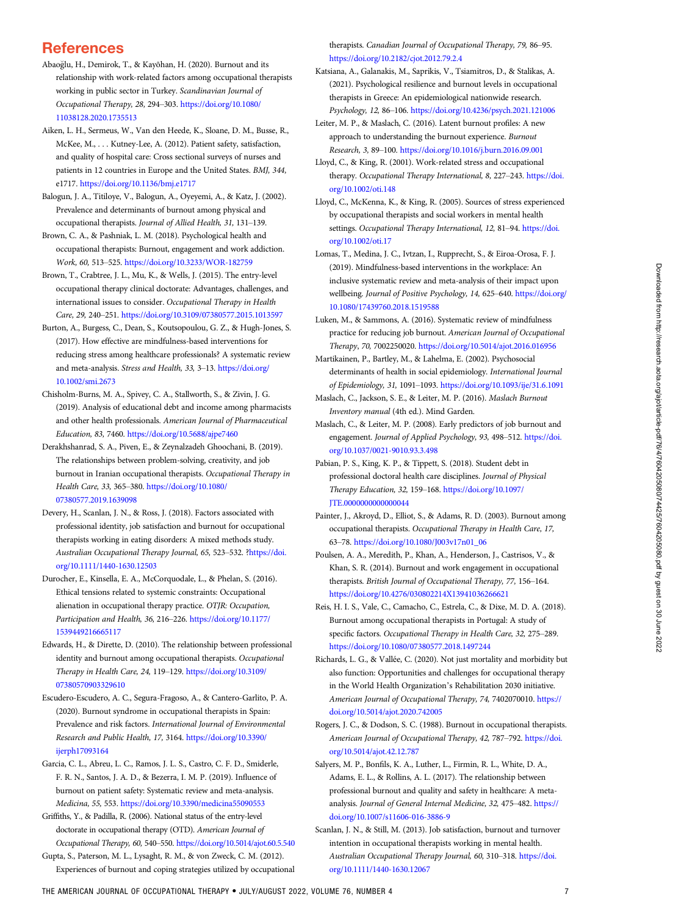# <span id="page-6-0"></span>**References**

- Abaoglu, H., Demirok, T., & Kayõhan, H. (2020). Burnout and its relationship with work-related factors among occupational therapists working in public sector in Turkey. Scandinavian Journal of Occupational Therapy, 28, 294–303. [https://doi.org/10.1080/](https://doi.org/10.1080/11038128.2020.1735513) [11038128.2020.1735513](https://doi.org/10.1080/11038128.2020.1735513)
- Aiken, L. H., Sermeus, W., Van den Heede, K., Sloane, D. M., Busse, R., McKee, M., . . . Kutney-Lee, A. (2012). Patient safety, satisfaction, and quality of hospital care: Cross sectional surveys of nurses and patients in 12 countries in Europe and the United States. BMJ, 344, e1717. <https://doi.org/10.1136/bmj.e1717>
- Balogun, J. A., Titiloye, V., Balogun, A., Oyeyemi, A., & Katz, J. (2002). Prevalence and determinants of burnout among physical and occupational therapists. Journal of Allied Health, 31, 131–139.
- Brown, C. A., & Pashniak, L. M. (2018). Psychological health and occupational therapists: Burnout, engagement and work addiction. Work, 60, 513–525. <https://doi.org/10.3233/WOR-182759>
- Brown, T., Crabtree, J. L., Mu, K., & Wells, J. (2015). The entry-level occupational therapy clinical doctorate: Advantages, challenges, and international issues to consider. Occupational Therapy in Health Care, 29, 240–251. <https://doi.org/10.3109/07380577.2015.1013597>
- Burton, A., Burgess, C., Dean, S., Koutsopoulou, G. Z., & Hugh-Jones, S. (2017). How effective are mindfulness-based interventions for reducing stress among healthcare professionals? A systematic review and meta-analysis. Stress and Health, 33, 3–13. [https://doi.org/](https://doi.org/10.1002/smi.2673) [10.1002/smi.2673](https://doi.org/10.1002/smi.2673)
- Chisholm-Burns, M. A., Spivey, C. A., Stallworth, S., & Zivin, J. G. (2019). Analysis of educational debt and income among pharmacists and other health professionals. American Journal of Pharmaceutical Education, 83, 7460. <https://doi.org/10.5688/ajpe7460>
- Derakhshanrad, S. A., Piven, E., & Zeynalzadeh Ghoochani, B. (2019). The relationships between problem-solving, creativity, and job burnout in Iranian occupational therapists. Occupational Therapy in Health Care, 33, 365–380. [https://doi.org/10.1080/](https://doi.org/10.1080/07380577.2019.1639098) [07380577.2019.1639098](https://doi.org/10.1080/07380577.2019.1639098)
- Devery, H., Scanlan, J. N., & Ross, J. (2018). Factors associated with professional identity, job satisfaction and burnout for occupational therapists working in eating disorders: A mixed methods study. Australian Occupational Therapy Journal, 65, 523–532. [?https://doi.](https://doi.org/10.1111/1440-1630.12503) [org/10.1111/1440-1630.12503](https://doi.org/10.1111/1440-1630.12503)
- Durocher, E., Kinsella, E. A., McCorquodale, L., & Phelan, S. (2016). Ethical tensions related to systemic constraints: Occupational alienation in occupational therapy practice. OTJR: Occupation, Participation and Health, 36, 216–226. [https://doi.org/10.1177/](https://doi.org/10.1177/1539449216665117) [1539449216665117](https://doi.org/10.1177/1539449216665117)
- Edwards, H., & Dirette, D. (2010). The relationship between professional identity and burnout among occupational therapists. Occupational Therapy in Health Care, 24, 119–129. [https://doi.org/10.3109/](https://doi.org/10.3109/07380570903329610) [07380570903329610](https://doi.org/10.3109/07380570903329610)
- Escudero-Escudero, A. C., Segura-Fragoso, A., & Cantero-Garlito, P. A. (2020). Burnout syndrome in occupational therapists in Spain: Prevalence and risk factors. International Journal of Environmental Research and Public Health, 17, 3164. [https://doi.org/10.3390/](https://doi.org/10.3390/ijerph17093164) [ijerph17093164](https://doi.org/10.3390/ijerph17093164)
- Garcia, C. L., Abreu, L. C., Ramos, J. L. S., Castro, C. F. D., Smiderle, F. R. N., Santos, J. A. D., & Bezerra, I. M. P. (2019). Influence of burnout on patient safety: Systematic review and meta-analysis. Medicina, 55, 553. <https://doi.org/10.3390/medicina55090553>
- Griffiths, Y., & Padilla, R. (2006). National status of the entry-level doctorate in occupational therapy (OTD). American Journal of Occupational Therapy, 60, 540–550. <https://doi.org/10.5014/ajot.60.5.540>
- Gupta, S., Paterson, M. L., Lysaght, R. M., & von Zweck, C. M. (2012). Experiences of burnout and coping strategies utilized by occupational

therapists. Canadian Journal of Occupational Therapy, 79, 86–95. <https://doi.org/10.2182/cjot.2012.79.2.4>

- Katsiana, A., Galanakis, M., Saprikis, V., Tsiamitros, D., & Stalikas, A. (2021). Psychological resilience and burnout levels in occupational therapists in Greece: An epidemiological nationwide research. Psychology, 12, 86–106. <https://doi.org/10.4236/psych.2021.121006>
- Leiter, M. P., & Maslach, C. (2016). Latent burnout profiles: A new approach to understanding the burnout experience. Burnout Research, 3, 89–100. <https://doi.org/10.1016/j.burn.2016.09.001>
- Lloyd, C., & King, R. (2001). Work-related stress and occupational therapy. Occupational Therapy International, 8, 227-243. [https://doi.](https://doi.org/10.1002/oti.148) [org/10.1002/oti.148](https://doi.org/10.1002/oti.148)
- Lloyd, C., McKenna, K., & King, R. (2005). Sources of stress experienced by occupational therapists and social workers in mental health settings. Occupational Therapy International, 12, 81-94. [https://doi.](https://doi.org/10.1002/oti.17) [org/10.1002/oti.17](https://doi.org/10.1002/oti.17)
- Lomas, T., Medina, J. C., Ivtzan, I., Rupprecht, S., & Eiroa-Orosa, F. J. (2019). Mindfulness-based interventions in the workplace: An inclusive systematic review and meta-analysis of their impact upon wellbeing. Journal of Positive Psychology, 14, 625-640. [https://doi.org/](https://doi.org/10.1080/17439760.2018.1519588) [10.1080/17439760.2018.1519588](https://doi.org/10.1080/17439760.2018.1519588)
- Luken, M., & Sammons, A. (2016). Systematic review of mindfulness practice for reducing job burnout. American Journal of Occupational Therapy, 70, 7002250020. <https://doi.org/10.5014/ajot.2016.016956>
- Martikainen, P., Bartley, M., & Lahelma, E. (2002). Psychosocial determinants of health in social epidemiology. International Journal of Epidemiology, 31, 1091–1093. <https://doi.org/10.1093/ije/31.6.1091>
- Maslach, C., Jackson, S. E., & Leiter, M. P. (2016). Maslach Burnout Inventory manual (4th ed.). Mind Garden.
- Maslach, C., & Leiter, M. P. (2008). Early predictors of job burnout and engagement. Journal of Applied Psychology, 93, 498–512. [https://doi.](https://doi.org/10.1037/0021-9010.93.3.498) [org/10.1037/0021-9010.93.3.498](https://doi.org/10.1037/0021-9010.93.3.498)
- Pabian, P. S., King, K. P., & Tippett, S. (2018). Student debt in professional doctoral health care disciplines. Journal of Physical Therapy Education, 32, 159–168. [https://doi.org/10.1097/](https://doi.org/10.1097/JTE.0000000000000044) [JTE.0000000000000044](https://doi.org/10.1097/JTE.0000000000000044)
- Painter, J., Akroyd, D., Elliot, S., & Adams, R. D. (2003). Burnout among occupational therapists. Occupational Therapy in Health Care, 17, 63–78. [https://doi.org/10.1080/J003v17n01\\_06](https://doi.org/10.1080/J003v17n01_06)
- Poulsen, A. A., Meredith, P., Khan, A., Henderson, J., Castrisos, V., & Khan, S. R. (2014). Burnout and work engagement in occupational therapists. British Journal of Occupational Therapy, 77, 156–164. <https://doi.org/10.4276/030802214X13941036266621>
- Reis, H. I. S., Vale, C., Camacho, C., Estrela, C., & Dixe, M. D. A. (2018). Burnout among occupational therapists in Portugal: A study of specific factors. Occupational Therapy in Health Care, 32, 275–289. <https://doi.org/10.1080/07380577.2018.1497244>
- Richards, L. G., & Vallée, C. (2020). Not just mortality and morbidity but also function: Opportunities and challenges for occupational therapy in the World Health Organization's Rehabilitation 2030 initiative. American Journal of Occupational Therapy, 74, 7402070010. [https://](https://doi.org/10.5014/ajot.2020.742005) [doi.org/10.5014/ajot.2020.742005](https://doi.org/10.5014/ajot.2020.742005)
- Rogers, J. C., & Dodson, S. C. (1988). Burnout in occupational therapists. American Journal of Occupational Therapy, 42, 787–792. [https://doi.](https://doi.org/10.5014/ajot.42.12.787) [org/10.5014/ajot.42.12.787](https://doi.org/10.5014/ajot.42.12.787)
- Salyers, M. P., Bonfils, K. A., Luther, L., Firmin, R. L., White, D. A., Adams, E. L., & Rollins, A. L. (2017). The relationship between professional burnout and quality and safety in healthcare: A metaanalysis. Journal of General Internal Medicine, 32, 475-482. [https://](https://doi.org/10.1007/s11606-016-3886-9) [doi.org/10.1007/s11606-016-3886-9](https://doi.org/10.1007/s11606-016-3886-9)
- Scanlan, J. N., & Still, M. (2013). Job satisfaction, burnout and turnover intention in occupational therapists working in mental health. Australian Occupational Therapy Journal, 60, 310–318. [https://doi.](https://doi.org/10.1111/1440-1630.12067) [org/10.1111/1440-1630.12067](https://doi.org/10.1111/1440-1630.12067)